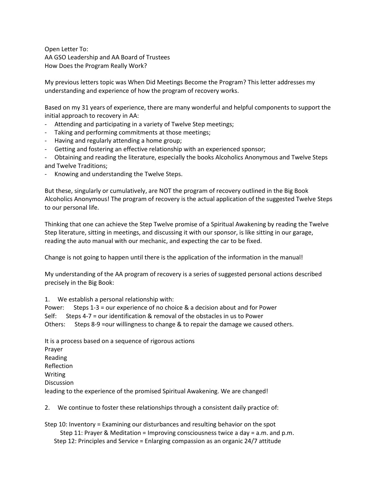Open Letter To: AA GSO Leadership and AA Board of Trustees How Does the Program Really Work?

My previous letters topic was When Did Meetings Become the Program? This letter addresses my understanding and experience of how the program of recovery works.

Based on my 31 years of experience, there are many wonderful and helpful components to support the initial approach to recovery in AA:

- Attending and participating in a variety of Twelve Step meetings;
- Taking and performing commitments at those meetings;
- Having and regularly attending a home group;
- Getting and fostering an effective relationship with an experienced sponsor;
- Obtaining and reading the literature, especially the books Alcoholics Anonymous and Twelve Steps and Twelve Traditions;
- Knowing and understanding the Twelve Steps.

But these, singularly or cumulatively, are NOT the program of recovery outlined in the Big Book Alcoholics Anonymous! The program of recovery is the actual application of the suggested Twelve Steps to our personal life.

Thinking that one can achieve the Step Twelve promise of a Spiritual Awakening by reading the Twelve Step literature, sitting in meetings, and discussing it with our sponsor, is like sitting in our garage, reading the auto manual with our mechanic, and expecting the car to be fixed.

Change is not going to happen until there is the application of the information in the manual!

My understanding of the AA program of recovery is a series of suggested personal actions described precisely in the Big Book:

1. We establish a personal relationship with:

Power: Steps 1-3 = our experience of no choice & a decision about and for Power Self: Steps 4-7 = our identification & removal of the obstacles in us to Power Others: Steps 8-9 =our willingness to change & to repair the damage we caused others.

It is a process based on a sequence of rigorous actions Prayer Reading Reflection Writing Discussion leading to the experience of the promised Spiritual Awakening. We are changed!

2. We continue to foster these relationships through a consistent daily practice of:

Step 10: Inventory = Examining our disturbances and resulting behavior on the spot Step 11: Prayer & Meditation = Improving consciousness twice a day = a.m. and p.m. Step 12: Principles and Service = Enlarging compassion as an organic 24/7 attitude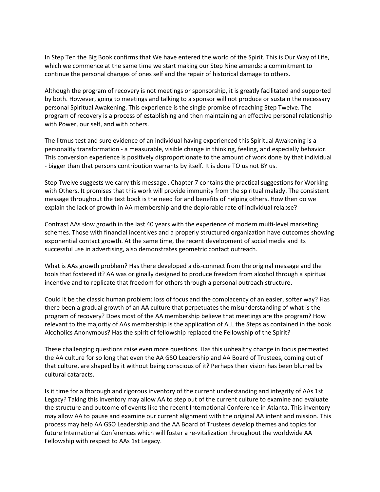In Step Ten the Big Book confirms that We have entered the world of the Spirit. This is Our Way of Life, which we commence at the same time we start making our Step Nine amends: a commitment to continue the personal changes of ones self and the repair of historical damage to others.

Although the program of recovery is not meetings or sponsorship, it is greatly facilitated and supported by both. However, going to meetings and talking to a sponsor will not produce or sustain the necessary personal Spiritual Awakening. This experience is the single promise of reaching Step Twelve. The program of recovery is a process of establishing and then maintaining an effective personal relationship with Power, our self, and with others.

The litmus test and sure evidence of an individual having experienced this Spiritual Awakening is a personality transformation - a measurable, visible change in thinking, feeling, and especially behavior. This conversion experience is positively disproportionate to the amount of work done by that individual - bigger than that persons contribution warrants by itself. It is done TO us not BY us.

Step Twelve suggests we carry this message . Chapter 7 contains the practical suggestions for Working with Others. It promises that this work will provide immunity from the spiritual malady. The consistent message throughout the text book is the need for and benefits of helping others. How then do we explain the lack of growth in AA membership and the deplorable rate of individual relapse?

Contrast AAs slow growth in the last 40 years with the experience of modern multi-level marketing schemes. Those with financial incentives and a properly structured organization have outcomes showing exponential contact growth. At the same time, the recent development of social media and its successful use in advertising, also demonstrates geometric contact outreach.

What is AAs growth problem? Has there developed a dis-connect from the original message and the tools that fostered it? AA was originally designed to produce freedom from alcohol through a spiritual incentive and to replicate that freedom for others through a personal outreach structure.

Could it be the classic human problem: loss of focus and the complacency of an easier, softer way? Has there been a gradual growth of an AA culture that perpetuates the misunderstanding of what is the program of recovery? Does most of the AA membership believe that meetings are the program? How relevant to the majority of AAs membership is the application of ALL the Steps as contained in the book Alcoholics Anonymous? Has the spirit of fellowship replaced the Fellowship of the Spirit?

These challenging questions raise even more questions. Has this unhealthy change in focus permeated the AA culture for so long that even the AA GSO Leadership and AA Board of Trustees, coming out of that culture, are shaped by it without being conscious of it? Perhaps their vision has been blurred by cultural cataracts.

Is it time for a thorough and rigorous inventory of the current understanding and integrity of AAs 1st Legacy? Taking this inventory may allow AA to step out of the current culture to examine and evaluate the structure and outcome of events like the recent International Conference in Atlanta. This inventory may allow AA to pause and examine our current alignment with the original AA intent and mission. This process may help AA GSO Leadership and the AA Board of Trustees develop themes and topics for future International Conferences which will foster a re-vitalization throughout the worldwide AA Fellowship with respect to AAs 1st Legacy.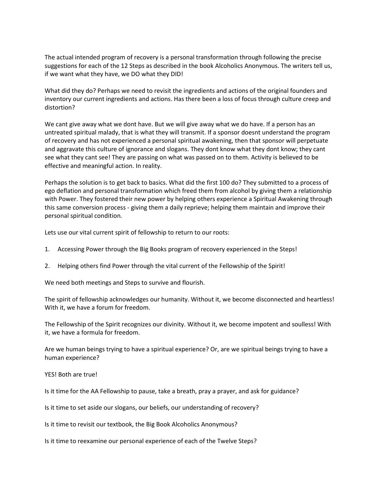The actual intended program of recovery is a personal transformation through following the precise suggestions for each of the 12 Steps as described in the book Alcoholics Anonymous. The writers tell us, if we want what they have, we DO what they DID!

What did they do? Perhaps we need to revisit the ingredients and actions of the original founders and inventory our current ingredients and actions. Has there been a loss of focus through culture creep and distortion?

We cant give away what we dont have. But we will give away what we do have. If a person has an untreated spiritual malady, that is what they will transmit. If a sponsor doesnt understand the program of recovery and has not experienced a personal spiritual awakening, then that sponsor will perpetuate and aggravate this culture of ignorance and slogans. They dont know what they dont know; they cant see what they cant see! They are passing on what was passed on to them. Activity is believed to be effective and meaningful action. In reality.

Perhaps the solution is to get back to basics. What did the first 100 do? They submitted to a process of ego deflation and personal transformation which freed them from alcohol by giving them a relationship with Power. They fostered their new power by helping others experience a Spiritual Awakening through this same conversion process - giving them a daily reprieve; helping them maintain and improve their personal spiritual condition.

Lets use our vital current spirit of fellowship to return to our roots:

- 1. Accessing Power through the Big Books program of recovery experienced in the Steps!
- 2. Helping others find Power through the vital current of the Fellowship of the Spirit!

We need both meetings and Steps to survive and flourish.

The spirit of fellowship acknowledges our humanity. Without it, we become disconnected and heartless! With it, we have a forum for freedom.

The Fellowship of the Spirit recognizes our divinity. Without it, we become impotent and soulless! With it, we have a formula for freedom.

Are we human beings trying to have a spiritual experience? Or, are we spiritual beings trying to have a human experience?

YES! Both are true!

Is it time for the AA Fellowship to pause, take a breath, pray a prayer, and ask for guidance?

Is it time to set aside our slogans, our beliefs, our understanding of recovery?

Is it time to revisit our textbook, the Big Book Alcoholics Anonymous?

Is it time to reexamine our personal experience of each of the Twelve Steps?